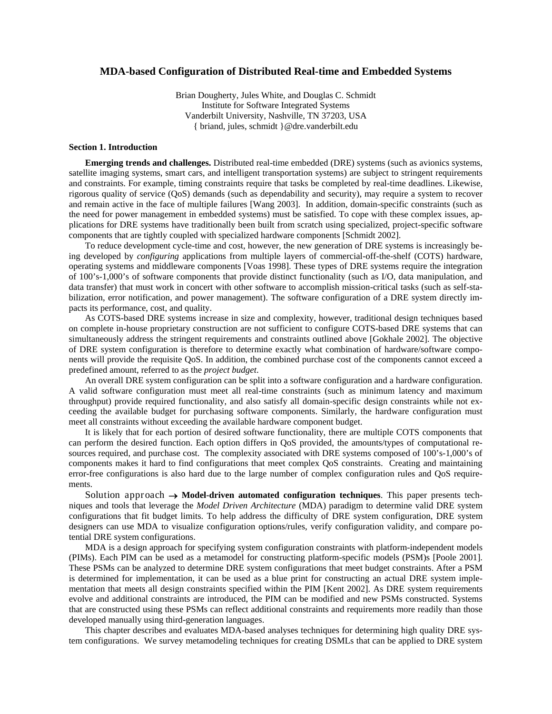## **MDA-based Configuration of Distributed Real-time and Embedded Systems**

Brian Dougherty, Jules White, and Douglas C. Schmidt Institute for Software Integrated Systems Vanderbilt University, Nashville, TN 37203, USA { briand, jules, schmidt }@dre.vanderbilt.edu

#### **Section 1. Introduction**

**Emerging trends and challenges.** Distributed real-time embedded (DRE) systems (such as avionics systems, satellite imaging systems, smart cars, and intelligent transportation systems) are subject to stringent requirements and constraints. For example, timing constraints require that tasks be completed by real-time deadlines. Likewise, rigorous quality of service (QoS) demands (such as dependability and security), may require a system to recover and remain active in the face of multiple failures [Wang 2003]. In addition, domain-specific constraints (such as the need for power management in embedded systems) must be satisfied. To cope with these complex issues, applications for DRE systems have traditionally been built from scratch using specialized, project-specific software components that are tightly coupled with specialized hardware components [Schmidt 2002].

To reduce development cycle-time and cost, however, the new generation of DRE systems is increasingly being developed by *configuring* applications from multiple layers of commercial-off-the-shelf (COTS) hardware, operating systems and middleware components [Voas 1998]. These types of DRE systems require the integration of 100's-1,000's of software components that provide distinct functionality (such as I/O, data manipulation, and data transfer) that must work in concert with other software to accomplish mission-critical tasks (such as self-stabilization, error notification, and power management). The software configuration of a DRE system directly impacts its performance, cost, and quality.

As COTS-based DRE systems increase in size and complexity, however, traditional design techniques based on complete in-house proprietary construction are not sufficient to configure COTS-based DRE systems that can simultaneously address the stringent requirements and constraints outlined above [Gokhale 2002]. The objective of DRE system configuration is therefore to determine exactly what combination of hardware/software components will provide the requisite QoS. In addition, the combined purchase cost of the components cannot exceed a predefined amount, referred to as the *project budget*.

An overall DRE system configuration can be split into a software configuration and a hardware configuration. A valid software configuration must meet all real-time constraints (such as minimum latency and maximum throughput) provide required functionality, and also satisfy all domain-specific design constraints while not exceeding the available budget for purchasing software components. Similarly, the hardware configuration must meet all constraints without exceeding the available hardware component budget.

It is likely that for each portion of desired software functionality, there are multiple COTS components that can perform the desired function. Each option differs in QoS provided, the amounts/types of computational resources required, and purchase cost. The complexity associated with DRE systems composed of 100's-1,000's of components makes it hard to find configurations that meet complex QoS constraints. Creating and maintaining error-free configurations is also hard due to the large number of complex configuration rules and QoS requirements.

Solution approach → **Model-driven automated configuration techniques**. This paper presents techniques and tools that leverage the *Model Driven Architecture* (MDA) paradigm to determine valid DRE system configurations that fit budget limits. To help address the difficulty of DRE system configuration, DRE system designers can use MDA to visualize configuration options/rules, verify configuration validity, and compare potential DRE system configurations.

MDA is a design approach for specifying system configuration constraints with platform-independent models (PIMs). Each PIM can be used as a metamodel for constructing platform-specific models (PSM)s [Poole 2001]. These PSMs can be analyzed to determine DRE system configurations that meet budget constraints. After a PSM is determined for implementation, it can be used as a blue print for constructing an actual DRE system implementation that meets all design constraints specified within the PIM [Kent 2002]. As DRE system requirements evolve and additional constraints are introduced, the PIM can be modified and new PSMs constructed. Systems that are constructed using these PSMs can reflect additional constraints and requirements more readily than those developed manually using third-generation languages.

This chapter describes and evaluates MDA-based analyses techniques for determining high quality DRE system configurations. We survey metamodeling techniques for creating DSMLs that can be applied to DRE system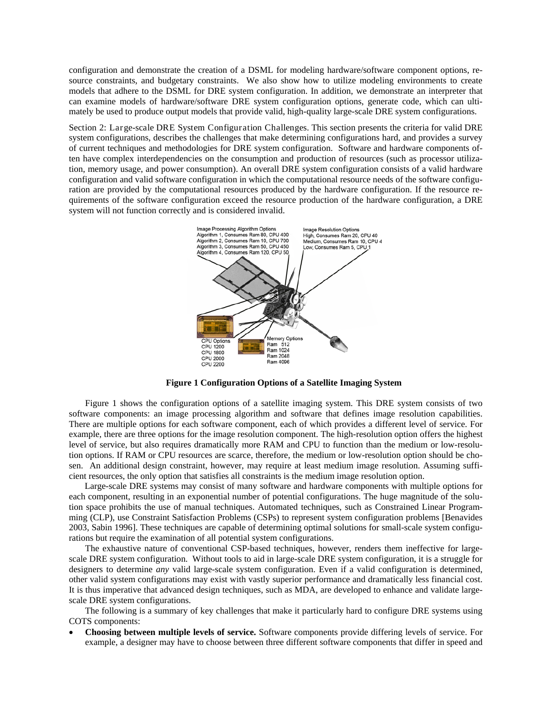configuration and demonstrate the creation of a DSML for modeling hardware/software component options, resource constraints, and budgetary constraints. We also show how to utilize modeling environments to create models that adhere to the DSML for DRE system configuration. In addition, we demonstrate an interpreter that can examine models of hardware/software DRE system configuration options, generate code, which can ultimately be used to produce output models that provide valid, high-quality large-scale DRE system configurations.

Section 2: Large-scale DRE System Configuration Challenges. This section presents the criteria for valid DRE system configurations, describes the challenges that make determining configurations hard, and provides a survey of current techniques and methodologies for DRE system configuration. Software and hardware components often have complex interdependencies on the consumption and production of resources (such as processor utilization, memory usage, and power consumption). An overall DRE system configuration consists of a valid hardware configuration and valid software configuration in which the computational resource needs of the software configuration are provided by the computational resources produced by the hardware configuration. If the resource requirements of the software configuration exceed the resource production of the hardware configuration, a DRE system will not function correctly and is considered invalid.



**Figure 1 Configuration Options of a Satellite Imaging System**

Figure 1 shows the configuration options of a satellite imaging system. This DRE system consists of two software components: an image processing algorithm and software that defines image resolution capabilities. There are multiple options for each software component, each of which provides a different level of service. For example, there are three options for the image resolution component. The high-resolution option offers the highest level of service, but also requires dramatically more RAM and CPU to function than the medium or low-resolution options. If RAM or CPU resources are scarce, therefore, the medium or low-resolution option should be chosen. An additional design constraint, however, may require at least medium image resolution. Assuming sufficient resources, the only option that satisfies all constraints is the medium image resolution option.

 Large-scale DRE systems may consist of many software and hardware components with multiple options for each component, resulting in an exponential number of potential configurations. The huge magnitude of the solution space prohibits the use of manual techniques. Automated techniques, such as Constrained Linear Programming (CLP), use Constraint Satisfaction Problems (CSPs) to represent system configuration problems [Benavides 2003, Sabin 1996]. These techniques are capable of determining optimal solutions for small-scale system configurations but require the examination of all potential system configurations.

The exhaustive nature of conventional CSP-based techniques, however, renders them ineffective for largescale DRE system configuration. Without tools to aid in large-scale DRE system configuration, it is a struggle for designers to determine *any* valid large-scale system configuration. Even if a valid configuration is determined, other valid system configurations may exist with vastly superior performance and dramatically less financial cost. It is thus imperative that advanced design techniques, such as MDA, are developed to enhance and validate largescale DRE system configurations.

The following is a summary of key challenges that make it particularly hard to configure DRE systems using COTS components:

• **Choosing between multiple levels of service.** Software components provide differing levels of service. For example, a designer may have to choose between three different software components that differ in speed and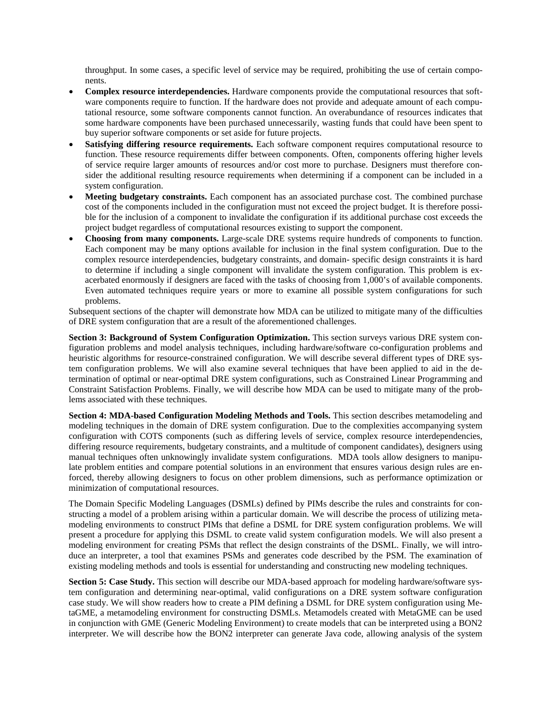throughput. In some cases, a specific level of service may be required, prohibiting the use of certain components.

- **Complex resource interdependencies.** Hardware components provide the computational resources that software components require to function. If the hardware does not provide and adequate amount of each computational resource, some software components cannot function. An overabundance of resources indicates that some hardware components have been purchased unnecessarily, wasting funds that could have been spent to buy superior software components or set aside for future projects.
- Satisfying differing resource requirements. Each software component requires computational resource to function. These resource requirements differ between components. Often, components offering higher levels of service require larger amounts of resources and/or cost more to purchase. Designers must therefore consider the additional resulting resource requirements when determining if a component can be included in a system configuration.
- **Meeting budgetary constraints.** Each component has an associated purchase cost. The combined purchase cost of the components included in the configuration must not exceed the project budget. It is therefore possible for the inclusion of a component to invalidate the configuration if its additional purchase cost exceeds the project budget regardless of computational resources existing to support the component.
- **Choosing from many components.** Large-scale DRE systems require hundreds of components to function. Each component may be many options available for inclusion in the final system configuration. Due to the complex resource interdependencies, budgetary constraints, and domain- specific design constraints it is hard to determine if including a single component will invalidate the system configuration. This problem is exacerbated enormously if designers are faced with the tasks of choosing from 1,000's of available components. Even automated techniques require years or more to examine all possible system configurations for such problems.

Subsequent sections of the chapter will demonstrate how MDA can be utilized to mitigate many of the difficulties of DRE system configuration that are a result of the aforementioned challenges.

**Section 3: Background of System Configuration Optimization.** This section surveys various DRE system configuration problems and model analysis techniques, including hardware/software co-configuration problems and heuristic algorithms for resource-constrained configuration. We will describe several different types of DRE system configuration problems. We will also examine several techniques that have been applied to aid in the determination of optimal or near-optimal DRE system configurations, such as Constrained Linear Programming and Constraint Satisfaction Problems. Finally, we will describe how MDA can be used to mitigate many of the problems associated with these techniques.

**Section 4: MDA-based Configuration Modeling Methods and Tools.** This section describes metamodeling and modeling techniques in the domain of DRE system configuration. Due to the complexities accompanying system configuration with COTS components (such as differing levels of service, complex resource interdependencies, differing resource requirements, budgetary constraints, and a multitude of component candidates), designers using manual techniques often unknowingly invalidate system configurations. MDA tools allow designers to manipulate problem entities and compare potential solutions in an environment that ensures various design rules are enforced, thereby allowing designers to focus on other problem dimensions, such as performance optimization or minimization of computational resources.

The Domain Specific Modeling Languages (DSMLs) defined by PIMs describe the rules and constraints for constructing a model of a problem arising within a particular domain. We will describe the process of utilizing metamodeling environments to construct PIMs that define a DSML for DRE system configuration problems. We will present a procedure for applying this DSML to create valid system configuration models. We will also present a modeling environment for creating PSMs that reflect the design constraints of the DSML. Finally, we will introduce an interpreter, a tool that examines PSMs and generates code described by the PSM. The examination of existing modeling methods and tools is essential for understanding and constructing new modeling techniques.

**Section 5: Case Study.** This section will describe our MDA-based approach for modeling hardware/software system configuration and determining near-optimal, valid configurations on a DRE system software configuration case study. We will show readers how to create a PIM defining a DSML for DRE system configuration using MetaGME, a metamodeling environment for constructing DSMLs. Metamodels created with MetaGME can be used in conjunction with GME (Generic Modeling Environment) to create models that can be interpreted using a BON2 interpreter. We will describe how the BON2 interpreter can generate Java code, allowing analysis of the system